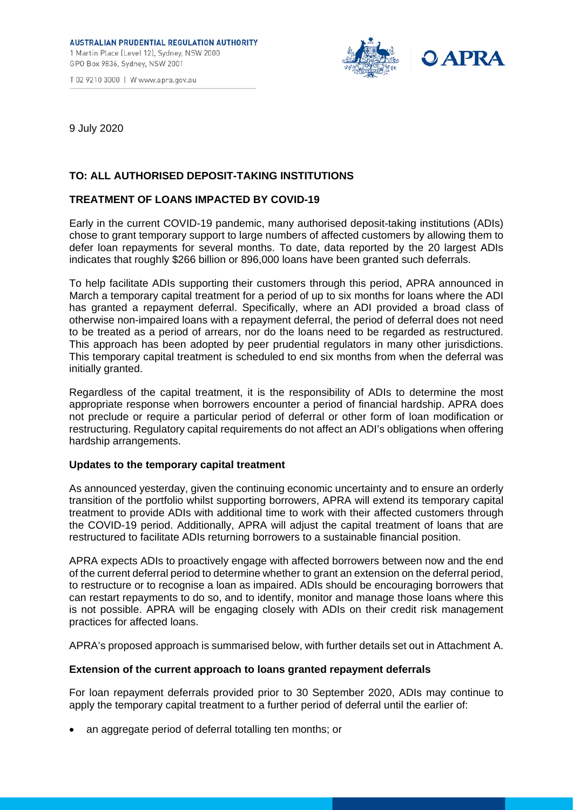



9 July 2020

# **TO: ALL AUTHORISED DEPOSIT-TAKING INSTITUTIONS**

## **TREATMENT OF LOANS IMPACTED BY COVID-19**

Early in the current COVID-19 pandemic, many authorised deposit-taking institutions (ADIs) chose to grant temporary support to large numbers of affected customers by allowing them to defer loan repayments for several months. To date, data reported by the 20 largest ADIs indicates that roughly \$266 billion or 896,000 loans have been granted such deferrals.

To help facilitate ADIs supporting their customers through this period, APRA announced in March a temporary capital treatment for a period of up to six months for loans where the ADI has granted a repayment deferral. Specifically, where an ADI provided a broad class of otherwise non-impaired loans with a repayment deferral, the period of deferral does not need to be treated as a period of arrears, nor do the loans need to be regarded as restructured. This approach has been adopted by peer prudential regulators in many other jurisdictions. This temporary capital treatment is scheduled to end six months from when the deferral was initially granted.

Regardless of the capital treatment, it is the responsibility of ADIs to determine the most appropriate response when borrowers encounter a period of financial hardship. APRA does not preclude or require a particular period of deferral or other form of loan modification or restructuring. Regulatory capital requirements do not affect an ADI's obligations when offering hardship arrangements.

### **Updates to the temporary capital treatment**

As announced yesterday, given the continuing economic uncertainty and to ensure an orderly transition of the portfolio whilst supporting borrowers, APRA will extend its temporary capital treatment to provide ADIs with additional time to work with their affected customers through the COVID-19 period. Additionally, APRA will adjust the capital treatment of loans that are restructured to facilitate ADIs returning borrowers to a sustainable financial position.

APRA expects ADIs to proactively engage with affected borrowers between now and the end of the current deferral period to determine whether to grant an extension on the deferral period, to restructure or to recognise a loan as impaired. ADIs should be encouraging borrowers that can restart repayments to do so, and to identify, monitor and manage those loans where this is not possible. APRA will be engaging closely with ADIs on their credit risk management practices for affected loans.

APRA's proposed approach is summarised below, with further details set out in Attachment A.

## **Extension of the current approach to loans granted repayment deferrals**

For loan repayment deferrals provided prior to 30 September 2020, ADIs may continue to apply the temporary capital treatment to a further period of deferral until the earlier of:

• an aggregate period of deferral totalling ten months; or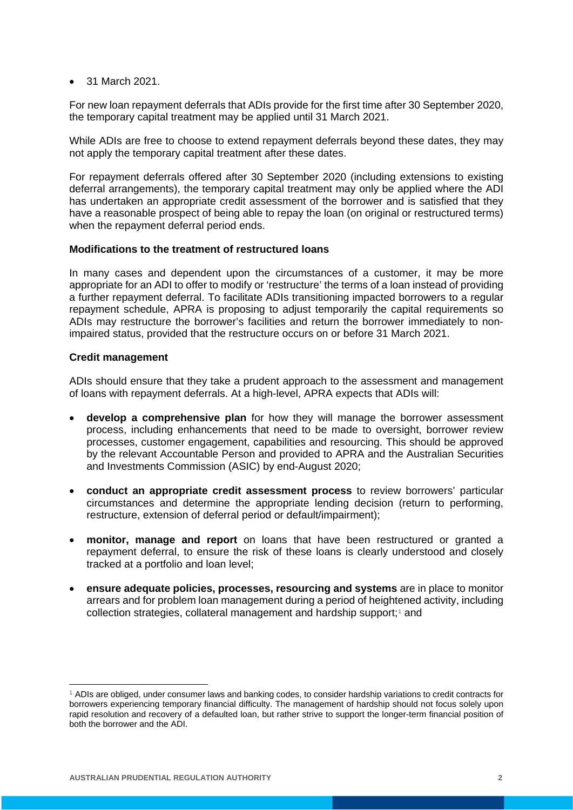• 31 March 2021.

For new loan repayment deferrals that ADIs provide for the first time after 30 September 2020, the temporary capital treatment may be applied until 31 March 2021.

While ADIs are free to choose to extend repayment deferrals beyond these dates, they may not apply the temporary capital treatment after these dates.

For repayment deferrals offered after 30 September 2020 (including extensions to existing deferral arrangements), the temporary capital treatment may only be applied where the ADI has undertaken an appropriate credit assessment of the borrower and is satisfied that they have a reasonable prospect of being able to repay the loan (on original or restructured terms) when the repayment deferral period ends.

### **Modifications to the treatment of restructured loans**

In many cases and dependent upon the circumstances of a customer, it may be more appropriate for an ADI to offer to modify or 'restructure' the terms of a loan instead of providing a further repayment deferral. To facilitate ADIs transitioning impacted borrowers to a regular repayment schedule, APRA is proposing to adjust temporarily the capital requirements so ADIs may restructure the borrower's facilities and return the borrower immediately to nonimpaired status, provided that the restructure occurs on or before 31 March 2021.

# **Credit management**

<u>.</u>

ADIs should ensure that they take a prudent approach to the assessment and management of loans with repayment deferrals. At a high-level, APRA expects that ADIs will:

- **develop a comprehensive plan** for how they will manage the borrower assessment process, including enhancements that need to be made to oversight, borrower review processes, customer engagement, capabilities and resourcing. This should be approved by the relevant Accountable Person and provided to APRA and the Australian Securities and Investments Commission (ASIC) by end-August 2020;
- **conduct an appropriate credit assessment process** to review borrowers' particular circumstances and determine the appropriate lending decision (return to performing, restructure, extension of deferral period or default/impairment);
- **monitor, manage and report** on loans that have been restructured or granted a repayment deferral, to ensure the risk of these loans is clearly understood and closely tracked at a portfolio and loan level;
- **ensure adequate policies, processes, resourcing and systems** are in place to monitor arrears and for problem loan management during a period of heightened activity, including collection strategies, collateral management and hardship support;[1](#page-1-0) and

<span id="page-1-0"></span><sup>&</sup>lt;sup>1</sup> ADIs are obliged, under consumer laws and banking codes, to consider hardship variations to credit contracts for borrowers experiencing temporary financial difficulty. The management of hardship should not focus solely upon rapid resolution and recovery of a defaulted loan, but rather strive to support the longer-term financial position of both the borrower and the ADI.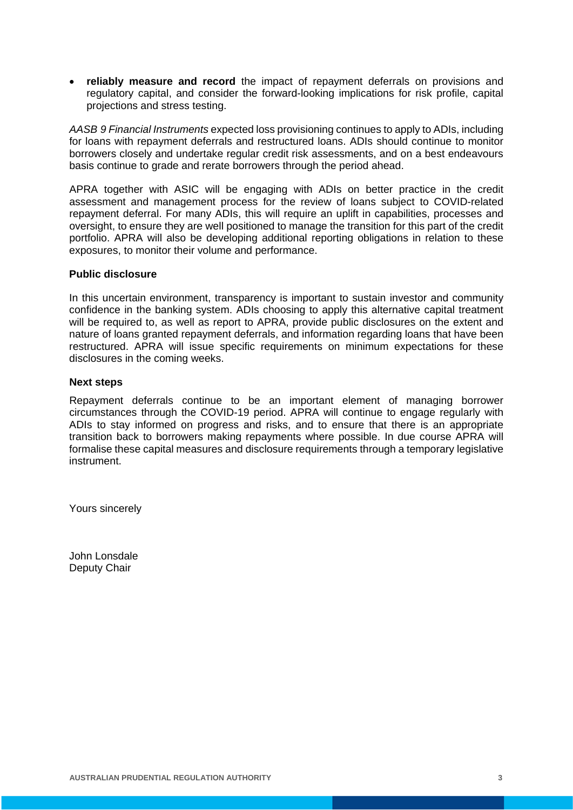• **reliably measure and record** the impact of repayment deferrals on provisions and regulatory capital, and consider the forward-looking implications for risk profile, capital projections and stress testing.

*AASB 9 Financial Instruments* expected loss provisioning continues to apply to ADIs, including for loans with repayment deferrals and restructured loans. ADIs should continue to monitor borrowers closely and undertake regular credit risk assessments, and on a best endeavours basis continue to grade and rerate borrowers through the period ahead.

APRA together with ASIC will be engaging with ADIs on better practice in the credit assessment and management process for the review of loans subject to COVID-related repayment deferral. For many ADIs, this will require an uplift in capabilities, processes and oversight, to ensure they are well positioned to manage the transition for this part of the credit portfolio. APRA will also be developing additional reporting obligations in relation to these exposures, to monitor their volume and performance.

### **Public disclosure**

In this uncertain environment, transparency is important to sustain investor and community confidence in the banking system. ADIs choosing to apply this alternative capital treatment will be required to, as well as report to APRA, provide public disclosures on the extent and nature of loans granted repayment deferrals, and information regarding loans that have been restructured. APRA will issue specific requirements on minimum expectations for these disclosures in the coming weeks.

# **Next steps**

Repayment deferrals continue to be an important element of managing borrower circumstances through the COVID-19 period. APRA will continue to engage regularly with ADIs to stay informed on progress and risks, and to ensure that there is an appropriate transition back to borrowers making repayments where possible. In due course APRA will formalise these capital measures and disclosure requirements through a temporary legislative instrument.

Yours sincerely

John Lonsdale Deputy Chair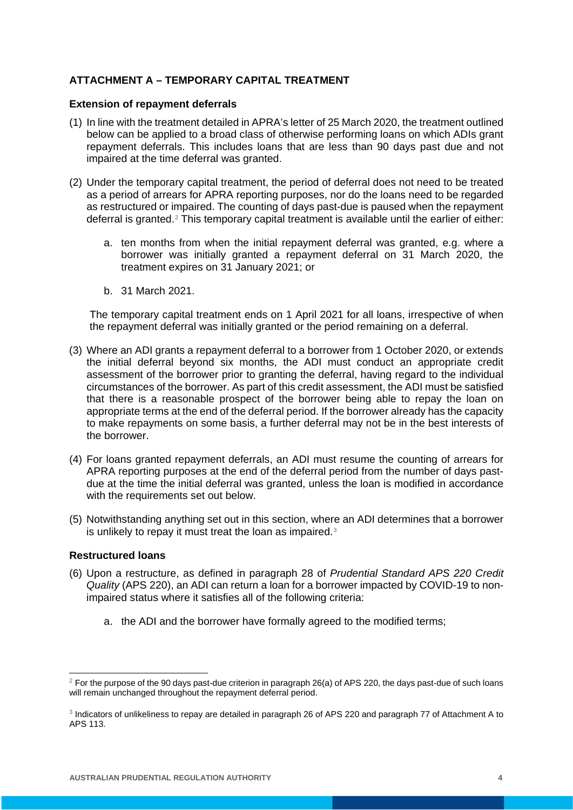# **ATTACHMENT A – TEMPORARY CAPITAL TREATMENT**

## **Extension of repayment deferrals**

- (1) In line with the treatment detailed in APRA's letter of 25 March 2020, the treatment outlined below can be applied to a broad class of otherwise performing loans on which ADIs grant repayment deferrals. This includes loans that are less than 90 days past due and not impaired at the time deferral was granted.
- (2) Under the temporary capital treatment, the period of deferral does not need to be treated as a period of arrears for APRA reporting purposes, nor do the loans need to be regarded as restructured or impaired. The counting of days past-due is paused when the repayment deferral is granted.[2](#page-3-0) This temporary capital treatment is available until the earlier of either:
	- a. ten months from when the initial repayment deferral was granted, e.g. where a borrower was initially granted a repayment deferral on 31 March 2020, the treatment expires on 31 January 2021; or
	- b. 31 March 2021.

The temporary capital treatment ends on 1 April 2021 for all loans, irrespective of when the repayment deferral was initially granted or the period remaining on a deferral.

- (3) Where an ADI grants a repayment deferral to a borrower from 1 October 2020, or extends the initial deferral beyond six months, the ADI must conduct an appropriate credit assessment of the borrower prior to granting the deferral, having regard to the individual circumstances of the borrower. As part of this credit assessment, the ADI must be satisfied that there is a reasonable prospect of the borrower being able to repay the loan on appropriate terms at the end of the deferral period. If the borrower already has the capacity to make repayments on some basis, a further deferral may not be in the best interests of the borrower.
- (4) For loans granted repayment deferrals, an ADI must resume the counting of arrears for APRA reporting purposes at the end of the deferral period from the number of days pastdue at the time the initial deferral was granted, unless the loan is modified in accordance with the requirements set out below.
- (5) Notwithstanding anything set out in this section, where an ADI determines that a borrower is unlikely to repay it must treat the loan as impaired.<sup>[3](#page-3-1)</sup>

## **Restructured loans**

- (6) Upon a restructure, as defined in paragraph 28 of *Prudential Standard APS 220 Credit Quality* (APS 220), an ADI can return a loan for a borrower impacted by COVID-19 to nonimpaired status where it satisfies all of the following criteria:
	- a. the ADI and the borrower have formally agreed to the modified terms;

<span id="page-3-0"></span><sup>&</sup>lt;u>.</u>  $2$  For the purpose of the 90 days past-due criterion in paragraph 26(a) of APS 220, the days past-due of such loans will remain unchanged throughout the repayment deferral period.

<span id="page-3-1"></span><sup>3</sup> Indicators of unlikeliness to repay are detailed in paragraph 26 of APS 220 and paragraph 77 of Attachment A to APS 113.